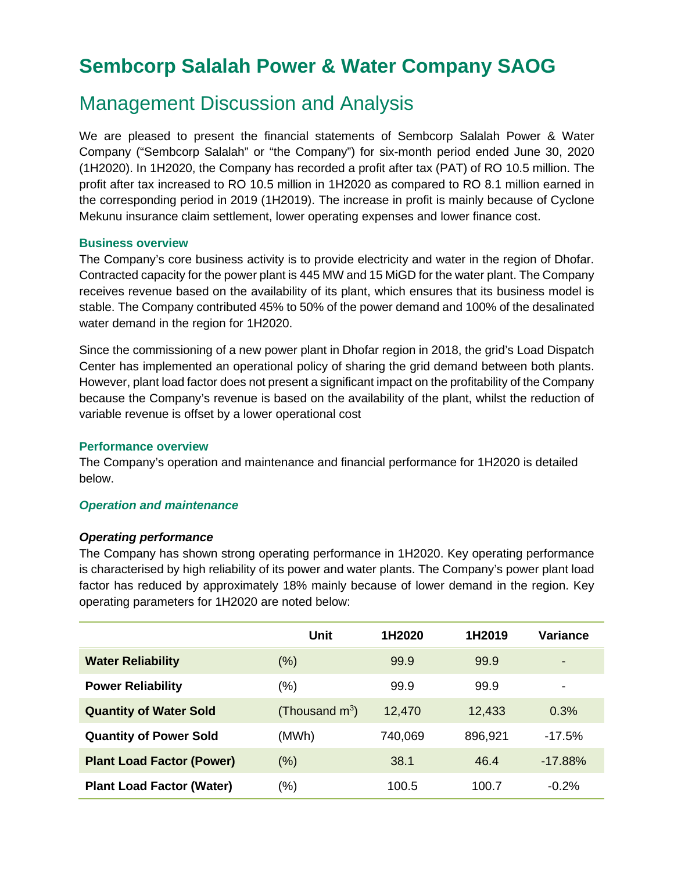# **Sembcorp Salalah Power & Water Company SAOG**

## Management Discussion and Analysis

We are pleased to present the financial statements of Sembcorp Salalah Power & Water Company ("Sembcorp Salalah" or "the Company") for six-month period ended June 30, 2020 (1H2020). In 1H2020, the Company has recorded a profit after tax (PAT) of RO 10.5 million. The profit after tax increased to RO 10.5 million in 1H2020 as compared to RO 8.1 million earned in the corresponding period in 2019 (1H2019). The increase in profit is mainly because of Cyclone Mekunu insurance claim settlement, lower operating expenses and lower finance cost.

### **Business overview**

The Company's core business activity is to provide electricity and water in the region of Dhofar. Contracted capacity for the power plant is 445 MW and 15 MiGD for the water plant. The Company receives revenue based on the availability of its plant, which ensures that its business model is stable. The Company contributed 45% to 50% of the power demand and 100% of the desalinated water demand in the region for 1H2020.

Since the commissioning of a new power plant in Dhofar region in 2018, the grid's Load Dispatch Center has implemented an operational policy of sharing the grid demand between both plants. However, plant load factor does not present a significant impact on the profitability of the Company because the Company's revenue is based on the availability of the plant, whilst the reduction of variable revenue is offset by a lower operational cost

#### **Performance overview**

The Company's operation and maintenance and financial performance for 1H2020 is detailed below.

## *Operation and maintenance*

#### *Operating performance*

The Company has shown strong operating performance in 1H2020. Key operating performance is characterised by high reliability of its power and water plants. The Company's power plant load factor has reduced by approximately 18% mainly because of lower demand in the region. Key operating parameters for 1H2020 are noted below:

|                                  | Unit              | 1H2020  | 1H2019  | Variance   |
|----------------------------------|-------------------|---------|---------|------------|
| <b>Water Reliability</b>         | $(\%)$            | 99.9    | 99.9    | $\,$       |
| <b>Power Reliability</b>         | (%)               | 99.9    | 99.9    |            |
| <b>Quantity of Water Sold</b>    | (Thousand $m^3$ ) | 12,470  | 12,433  | 0.3%       |
| <b>Quantity of Power Sold</b>    | (MWh)             | 740,069 | 896,921 | $-17.5%$   |
| <b>Plant Load Factor (Power)</b> | (%)               | 38.1    | 46.4    | $-17.88\%$ |
| <b>Plant Load Factor (Water)</b> | (%)               | 100.5   | 100.7   | $-0.2%$    |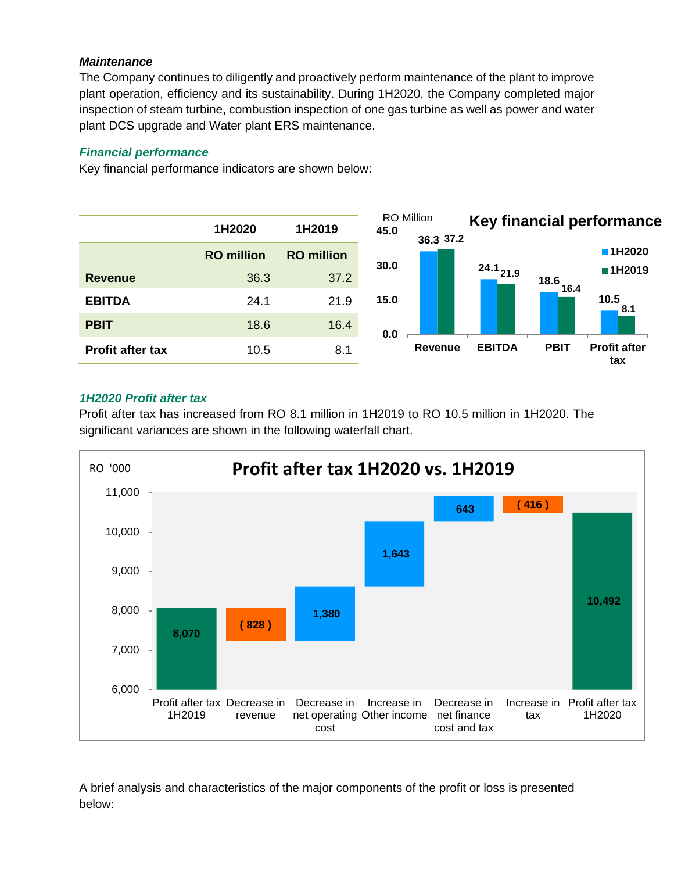## *Maintenance*

The Company continues to diligently and proactively perform maintenance of the plant to improve plant operation, efficiency and its sustainability. During 1H2020, the Company completed major inspection of steam turbine, combustion inspection of one gas turbine as well as power and water plant DCS upgrade and Water plant ERS maintenance.

## *Financial performance*

Key financial performance indicators are shown below:



## *1H2020 Profit after tax*

Profit after tax has increased from RO 8.1 million in 1H2019 to RO 10.5 million in 1H2020. The significant variances are shown in the following waterfall chart.



A brief analysis and characteristics of the major components of the profit or loss is presented below: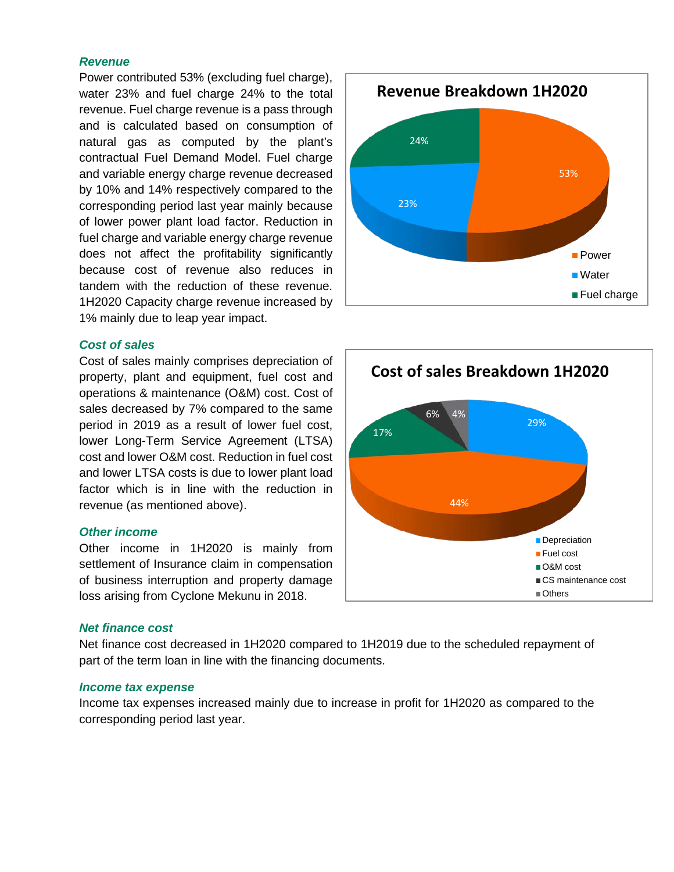#### *Revenue*

Power contributed 53% (excluding fuel charge), water 23% and fuel charge 24% to the total revenue. Fuel charge revenue is a pass through and is calculated based on consumption of natural gas as computed by the plant's contractual Fuel Demand Model. Fuel charge and variable energy charge revenue decreased by 10% and 14% respectively compared to the corresponding period last year mainly because of lower power plant load factor. Reduction in fuel charge and variable energy charge revenue does not affect the profitability significantly because cost of revenue also reduces in tandem with the reduction of these revenue. 1H2020 Capacity charge revenue increased by 1% mainly due to leap year impact.

#### *Cost of sales*

Cost of sales mainly comprises depreciation of property, plant and equipment, fuel cost and operations & maintenance (O&M) cost. Cost of sales decreased by 7% compared to the same period in 2019 as a result of lower fuel cost, lower Long-Term Service Agreement (LTSA) cost and lower O&M cost. Reduction in fuel cost and lower LTSA costs is due to lower plant load factor which is in line with the reduction in revenue (as mentioned above).

#### *Other income*

Other income in 1H2020 is mainly from settlement of Insurance claim in compensation of business interruption and property damage loss arising from Cyclone Mekunu in 2018.

#### *Net finance cost*

Net finance cost decreased in 1H2020 compared to 1H2019 due to the scheduled repayment of part of the term loan in line with the financing documents.

#### *Income tax expense*

Income tax expenses increased mainly due to increase in profit for 1H2020 as compared to the corresponding period last year.